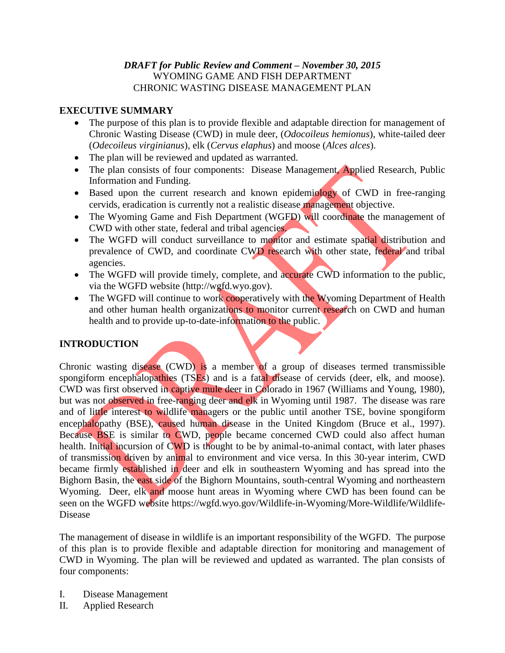# *DRAFT for Public Review and Comment – November 30, 2015* WYOMING GAME AND FISH DEPARTMENT CHRONIC WASTING DISEASE MANAGEMENT PLAN

# **EXECUTIVE SUMMARY**

- The purpose of this plan is to provide flexible and adaptable direction for management of Chronic Wasting Disease (CWD) in mule deer, (*Odocoileus hemionus*), white-tailed deer (*Odecoileus virginianus*), elk (*Cervus elaphus*) and moose (*Alces alces*).
- The plan will be reviewed and updated as warranted.
- The plan consists of four components: Disease Management, Applied Research, Public Information and Funding.
- Based upon the current research and known epidemiology of CWD in free-ranging cervids, eradication is currently not a realistic disease management objective.
- The Wyoming Game and Fish Department (WGFD) will coordinate the management of CWD with other state, federal and tribal agencies.
- The WGFD will conduct surveillance to monitor and estimate spatial distribution and prevalence of CWD, and coordinate CWD research with other state, federal and tribal agencies.
- The WGFD will provide timely, complete, and accurate CWD information to the public, via the WGFD website (http://wgfd.wyo.gov).
- The WGFD will continue to work cooperatively with the Wyoming Department of Health and other human health organizations to monitor current research on CWD and human health and to provide up-to-date-information to the public.

# **INTRODUCTION**

Chronic wasting disease (CWD) is a member of a group of diseases termed transmissible spongiform encephalopathies (TSEs) and is a fatal disease of cervids (deer, elk, and moose). CWD was first observed in captive mule deer in Colorado in 1967 (Williams and Young, 1980), but was not observed in free-ranging deer and elk in Wyoming until 1987. The disease was rare and of little interest to wildlife managers or the public until another TSE, bovine spongiform encephalopathy (BSE), caused human disease in the United Kingdom (Bruce et al., 1997). Because BSE is similar to CWD, people became concerned CWD could also affect human health. Initial incursion of CWD is thought to be by animal-to-animal contact, with later phases of transmission driven by animal to environment and vice versa. In this 30-year interim, CWD became firmly established in deer and elk in southeastern Wyoming and has spread into the Bighorn Basin, the east side of the Bighorn Mountains, south-central Wyoming and northeastern Wyoming. Deer, elk and moose hunt areas in Wyoming where CWD has been found can be seen on the WGFD website https://wgfd.wyo.gov/Wildlife-in-Wyoming/More-Wildlife/Wildlife-Disease

The management of disease in wildlife is an important responsibility of the WGFD. The purpose of this plan is to provide flexible and adaptable direction for monitoring and management of CWD in Wyoming. The plan will be reviewed and updated as warranted. The plan consists of four components:

- I. Disease Management
- II. Applied Research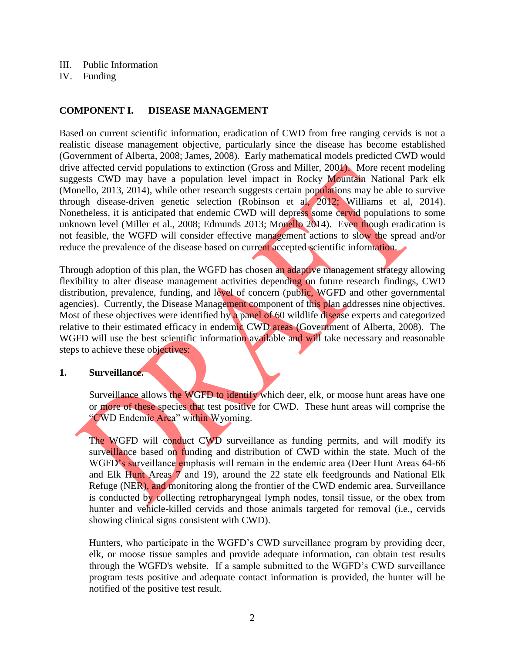- III. Public Information
- IV. Funding

# **COMPONENT I. DISEASE MANAGEMENT**

Based on current scientific information, eradication of CWD from free ranging cervids is not a realistic disease management objective, particularly since the disease has become established (Government of Alberta, 2008; James, 2008). Early mathematical models predicted CWD would drive affected cervid populations to extinction (Gross and Miller, 2001). More recent modeling suggests CWD may have a population level impact in Rocky Mountain National Park elk (Monello, 2013, 2014), while other research suggests certain populations may be able to survive through disease-driven genetic selection (Robinson et al, 2012; Williams et al, 2014). Nonetheless, it is anticipated that endemic CWD will depress some cervid populations to some unknown level (Miller et al., 2008; Edmunds 2013; Monello 2014). Even though eradication is not feasible, the WGFD will consider effective management actions to slow the spread and/or reduce the prevalence of the disease based on current accepted scientific information.

Through adoption of this plan, the WGFD has chosen an adaptive management strategy allowing flexibility to alter disease management activities depending on future research findings, CWD distribution, prevalence, funding, and level of concern (public, WGFD and other governmental agencies). Currently, the Disease Management component of this plan addresses nine objectives. Most of these objectives were identified by a panel of 60 wildlife disease experts and categorized relative to their estimated efficacy in endemic CWD areas (Government of Alberta, 2008). The WGFD will use the best scientific information available and will take necessary and reasonable steps to achieve these objectives:

#### **1. Surveillance.**

Surveillance allows the WGFD to identify which deer, elk, or moose hunt areas have one or more of these species that test positive for CWD. These hunt areas will comprise the "CWD Endemic Area" within Wyoming.

The WGFD will conduct CWD surveillance as funding permits, and will modify its surveillance based on funding and distribution of CWD within the state. Much of the WGFD's surveillance emphasis will remain in the endemic area (Deer Hunt Areas 64-66) and Elk Hunt Areas 7 and 19), around the 22 state elk feedgrounds and National Elk Refuge (NER), and monitoring along the frontier of the CWD endemic area. Surveillance is conducted by collecting retropharyngeal lymph nodes, tonsil tissue, or the obex from hunter and vehicle-killed cervids and those animals targeted for removal (i.e., cervids showing clinical signs consistent with CWD).

Hunters, who participate in the WGFD's CWD surveillance program by providing deer, elk, or moose tissue samples and provide adequate information, can obtain test results through the WGFD's website. If a sample submitted to the WGFD's CWD surveillance program tests positive and adequate contact information is provided, the hunter will be notified of the positive test result.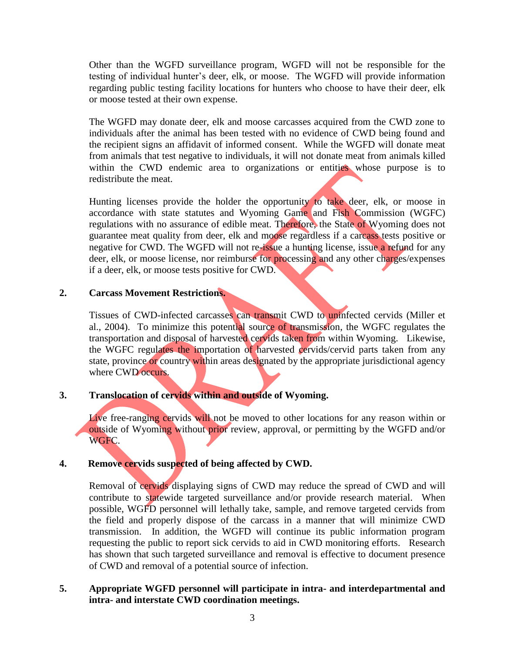Other than the WGFD surveillance program, WGFD will not be responsible for the testing of individual hunter's deer, elk, or moose. The WGFD will provide information regarding public testing facility locations for hunters who choose to have their deer, elk or moose tested at their own expense.

The WGFD may donate deer, elk and moose carcasses acquired from the CWD zone to individuals after the animal has been tested with no evidence of CWD being found and the recipient signs an affidavit of informed consent. While the WGFD will donate meat from animals that test negative to individuals, it will not donate meat from animals killed within the CWD endemic area to organizations or entities whose purpose is to redistribute the meat.

Hunting licenses provide the holder the opportunity to take deer, elk, or moose in accordance with state statutes and Wyoming Game and Fish Commission (WGFC) regulations with no assurance of edible meat. Therefore, the State of Wyoming does not guarantee meat quality from deer, elk and moose regardless if a carcass tests positive or negative for CWD. The WGFD will not re-issue a hunting license, issue a refund for any deer, elk, or moose license, nor reimburse for processing and any other charges/expenses if a deer, elk, or moose tests positive for CWD.

#### **2. Carcass Movement Restrictions.**

Tissues of CWD-infected carcasses can transmit CWD to uninfected cervids (Miller et al., 2004). To minimize this potential source of transmission, the WGFC regulates the transportation and disposal of harvested cervids taken from within Wyoming. Likewise, the WGFC regulates the importation of harvested cervids/cervid parts taken from any state, province or country within areas designated by the appropriate jurisdictional agency where CWD occurs.

# **3. Translocation of cervids within and outside of Wyoming.**

Live free-ranging cervids will not be moved to other locations for any reason within or outside of Wyoming without prior review, approval, or permitting by the WGFD and/or WGFC.

# **4. Remove cervids suspected of being affected by CWD.**

Removal of cervids displaying signs of CWD may reduce the spread of CWD and will contribute to statewide targeted surveillance and/or provide research material. When possible, WGFD personnel will lethally take, sample, and remove targeted cervids from the field and properly dispose of the carcass in a manner that will minimize CWD transmission. In addition, the WGFD will continue its public information program requesting the public to report sick cervids to aid in CWD monitoring efforts. Research has shown that such targeted surveillance and removal is effective to document presence of CWD and removal of a potential source of infection.

# **5. Appropriate WGFD personnel will participate in intra- and interdepartmental and intra- and interstate CWD coordination meetings.**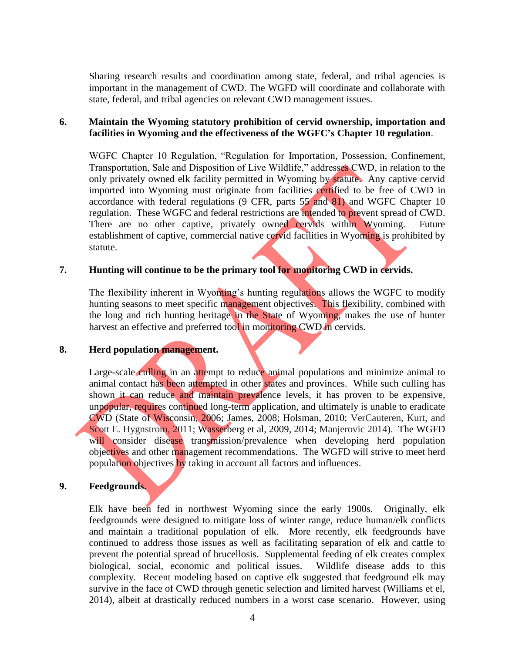Sharing research results and coordination among state, federal, and tribal agencies is important in the management of CWD. The WGFD will coordinate and collaborate with state, federal, and tribal agencies on relevant CWD management issues.

#### **6. Maintain the Wyoming statutory prohibition of cervid ownership, importation and facilities in Wyoming and the effectiveness of the WGFC's Chapter 10 regulation**.

WGFC Chapter 10 Regulation, "Regulation for Importation, Possession, Confinement, Transportation, Sale and Disposition of Live Wildlife," addresses CWD, in relation to the only privately owned elk facility permitted in Wyoming by statute. Any captive cervid imported into Wyoming must originate from facilities certified to be free of CWD in accordance with federal regulations (9 CFR, parts 55 and 81) and WGFC Chapter 10 regulation. These WGFC and federal restrictions are intended to prevent spread of CWD. There are no other captive, privately owned cervids within Wyoming. Future establishment of captive, commercial native cervid facilities in Wyoming is prohibited by statute.

# **7. Hunting will continue to be the primary tool for monitoring CWD in cervids.**

The flexibility inherent in Wyoming's hunting regulations allows the WGFC to modify hunting seasons to meet specific management objectives. This flexibility, combined with the long and rich hunting heritage in the State of Wyoming, makes the use of hunter harvest an effective and preferred tool in monitoring CWD in cervids.

#### **8. Herd population management.**

Large-scale culling in an attempt to reduce animal populations and minimize animal to animal contact has been attempted in other states and provinces. While such culling has shown it can reduce and maintain prevalence levels, it has proven to be expensive, unpopular, requires continued long-term application, and ultimately is unable to eradicate CWD (State of Wisconsin, 2006; James, 2008; Holsman, 2010; VerCauteren, Kurt, and Scott E. Hygnstrom, 2011; Wasserberg et al, 2009, 2014; Manjerovic 2014). The WGFD will consider disease transmission/prevalence when developing herd population objectives and other management recommendations. The WGFD will strive to meet herd population objectives by taking in account all factors and influences.

#### **9. Feedgrounds.**

Elk have been fed in northwest Wyoming since the early 1900s. Originally, elk feedgrounds were designed to mitigate loss of winter range, reduce human/elk conflicts and maintain a traditional population of elk. More recently, elk feedgrounds have continued to address those issues as well as facilitating separation of elk and cattle to prevent the potential spread of brucellosis. Supplemental feeding of elk creates complex biological, social, economic and political issues. Wildlife disease adds to this complexity. Recent modeling based on captive elk suggested that feedground elk may survive in the face of CWD through genetic selection and limited harvest (Williams et el, 2014), albeit at drastically reduced numbers in a worst case scenario. However, using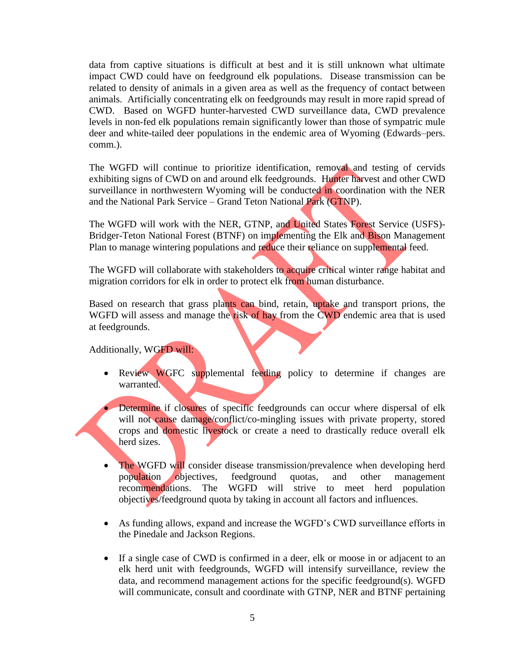data from captive situations is difficult at best and it is still unknown what ultimate impact CWD could have on feedground elk populations. Disease transmission can be related to density of animals in a given area as well as the frequency of contact between animals. Artificially concentrating elk on feedgrounds may result in more rapid spread of CWD. Based on WGFD hunter-harvested CWD surveillance data, CWD prevalence levels in non-fed elk populations remain significantly lower than those of sympatric mule deer and white-tailed deer populations in the endemic area of Wyoming (Edwards–pers. comm.).

The WGFD will continue to prioritize identification, removal and testing of cervids exhibiting signs of CWD on and around elk feedgrounds. Hunter harvest and other CWD surveillance in northwestern Wyoming will be conducted in coordination with the NER and the National Park Service – Grand Teton National Park (GTNP).

The WGFD will work with the NER, GTNP, and United States Forest Service (USFS)- Bridger-Teton National Forest (BTNF) on implementing the Elk and Bison Management Plan to manage wintering populations and reduce their reliance on supplemental feed.

The WGFD will collaborate with stakeholders to acquire critical winter range habitat and migration corridors for elk in order to protect elk from human disturbance.

Based on research that grass plants can bind, retain, uptake and transport prions, the WGFD will assess and manage the risk of hay from the CWD endemic area that is used at feedgrounds.

Additionally, WGFD will:

• Review WGFC supplemental feeding policy to determine if changes are warranted.

 Determine if closures of specific feedgrounds can occur where dispersal of elk will not cause damage/conflict/co-mingling issues with private property, stored crops and domestic livestock or create a need to drastically reduce overall elk herd sizes.

- The WGFD will consider disease transmission/prevalence when developing herd population objectives, feedground quotas, and other management recommendations. The WGFD will strive to meet herd population objectives/feedground quota by taking in account all factors and influences.
- As funding allows, expand and increase the WGFD's CWD surveillance efforts in the Pinedale and Jackson Regions.
- If a single case of CWD is confirmed in a deer, elk or moose in or adjacent to an elk herd unit with feedgrounds, WGFD will intensify surveillance, review the data, and recommend management actions for the specific feedground(s). WGFD will communicate, consult and coordinate with GTNP, NER and BTNF pertaining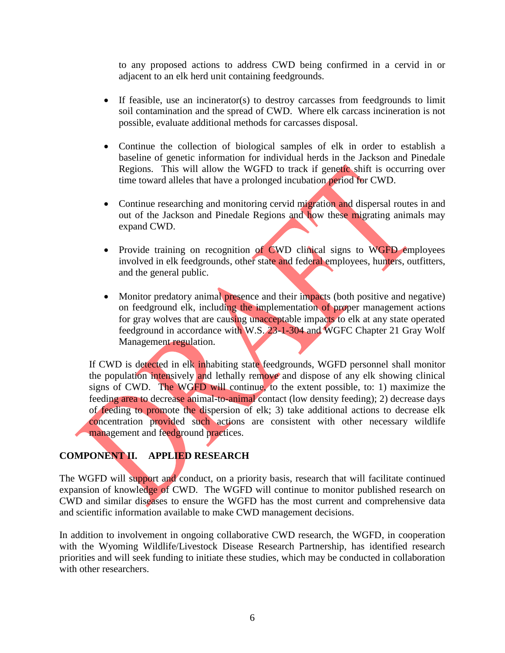to any proposed actions to address CWD being confirmed in a cervid in or adjacent to an elk herd unit containing feedgrounds.

- If feasible, use an incinerator(s) to destroy carcasses from feedgrounds to limit soil contamination and the spread of CWD. Where elk carcass incineration is not possible, evaluate additional methods for carcasses disposal.
- Continue the collection of biological samples of elk in order to establish a baseline of genetic information for individual herds in the Jackson and Pinedale Regions. This will allow the WGFD to track if genetic shift is occurring over time toward alleles that have a prolonged incubation period for CWD.
- Continue researching and monitoring cervid migration and dispersal routes in and out of the Jackson and Pinedale Regions and how these migrating animals may expand CWD.
- Provide training on recognition of CWD clinical signs to WGFD employees involved in elk feedgrounds, other state and federal employees, hunters, outfitters, and the general public.
- Monitor predatory animal presence and their impacts (both positive and negative) on feedground elk, including the implementation of proper management actions for gray wolves that are causing unacceptable impacts to elk at any state operated feedground in accordance with W.S. 23-1-304 and WGFC Chapter 21 Gray Wolf Management regulation.

If CWD is detected in elk inhabiting state feedgrounds, WGFD personnel shall monitor the population intensively and lethally remove and dispose of any elk showing clinical signs of CWD. The WGFD will continue, to the extent possible, to: 1) maximize the feeding area to decrease animal-to-animal contact (low density feeding); 2) decrease days of feeding to promote the dispersion of elk; 3) take additional actions to decrease elk concentration provided such actions are consistent with other necessary wildlife management and feedground practices.

# **COMPONENT II. APPLIED RESEARCH**

The WGFD will support and conduct, on a priority basis, research that will facilitate continued expansion of knowledge of CWD. The WGFD will continue to monitor published research on CWD and similar diseases to ensure the WGFD has the most current and comprehensive data and scientific information available to make CWD management decisions.

In addition to involvement in ongoing collaborative CWD research, the WGFD, in cooperation with the Wyoming Wildlife/Livestock Disease Research Partnership, has identified research priorities and will seek funding to initiate these studies, which may be conducted in collaboration with other researchers.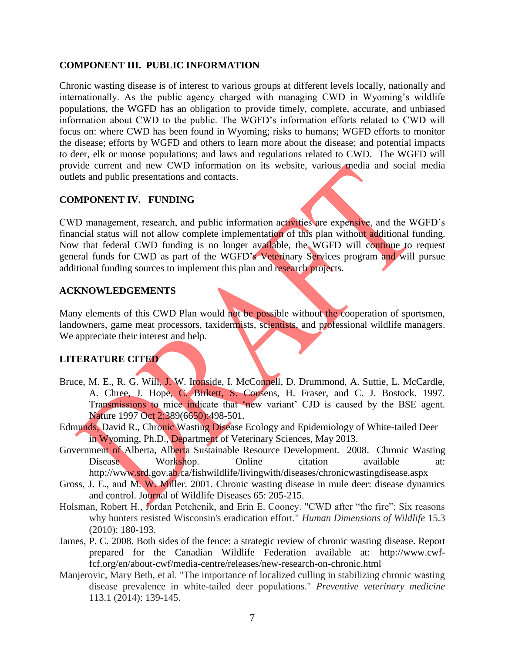# **COMPONENT III. PUBLIC INFORMATION**

Chronic wasting disease is of interest to various groups at different levels locally, nationally and internationally. As the public agency charged with managing CWD in Wyoming's wildlife populations, the WGFD has an obligation to provide timely, complete, accurate, and unbiased information about CWD to the public. The WGFD's information efforts related to CWD will focus on: where CWD has been found in Wyoming; risks to humans; WGFD efforts to monitor the disease; efforts by WGFD and others to learn more about the disease; and potential impacts to deer, elk or moose populations; and laws and regulations related to CWD. The WGFD will provide current and new CWD information on its website, various media and social media outlets and public presentations and contacts.

# **COMPONENT IV. FUNDING**

CWD management, research, and public information activities are expensive, and the WGFD's financial status will not allow complete implementation of this plan without additional funding. Now that federal CWD funding is no longer available, the WGFD will continue to request general funds for CWD as part of the WGFD's Veterinary Services program and will pursue additional funding sources to implement this plan and research projects.

### **ACKNOWLEDGEMENTS**

Many elements of this CWD Plan would not be possible without the cooperation of sportsmen, landowners, game meat processors, taxidermists, scientists, and professional wildlife managers. We appreciate their interest and help.

#### **LITERATURE CITED**

- Bruce, M. E., R. G. Will, J. W. Ironside, I. McConnell, D. Drummond, A. Suttie, L. McCardle, A. Chree, J. Hope, C. Birkett, S. Cousens, H. Fraser, and C. J. Bostock. 1997. Transmissions to mice indicate that 'new variant' CJD is caused by the BSE agent. Nature 1997 Oct 2;389(6650):498-501.
- Edmunds, David R., Chronic Wasting Disease Ecology and Epidemiology of White-tailed Deer in Wyoming, Ph.D., Department of Veterinary Sciences, May 2013.
- Government of Alberta, Alberta Sustainable Resource Development. 2008. Chronic Wasting Disease Workshop. Online citation available at: <http://www.srd.gov.ab.ca/fishwildlife/livingwith/diseases/chronicwastingdisease.aspx>
- Gross, J. E., and M. W. Miller. 2001. Chronic wasting disease in mule deer: disease dynamics and control. Journal of Wildlife Diseases 65: 205-215.
- Holsman, Robert H., Jordan Petchenik, and Erin E. Cooney. "CWD after "the fire": Six reasons why hunters resisted Wisconsin's eradication effort." *Human Dimensions of Wildlife* 15.3 (2010): 180-193.
- James, P. C. 2008. Both sides of the fence: a strategic review of chronic wasting disease. Report prepared for the Canadian Wildlife Federation available at: [http://www.cwf](http://www.cwf-fcf.org/en/about-cwf/media-centre/releases/new-research-on-chronic.html)[fcf.org/en/about-cwf/media-centre/releases/new-research-on-chronic.html](http://www.cwf-fcf.org/en/about-cwf/media-centre/releases/new-research-on-chronic.html)
- Manjerovic, Mary Beth, et al. "The importance of localized culling in stabilizing chronic wasting disease prevalence in white-tailed deer populations." *Preventive veterinary medicine* 113.1 (2014): 139-145.